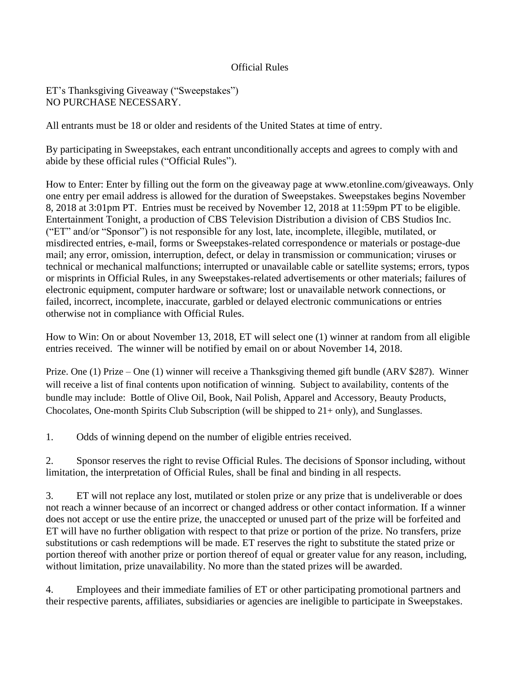## Official Rules

ET's Thanksgiving Giveaway ("Sweepstakes") NO PURCHASE NECESSARY.

All entrants must be 18 or older and residents of the United States at time of entry.

By participating in Sweepstakes, each entrant unconditionally accepts and agrees to comply with and abide by these official rules ("Official Rules").

How to Enter: Enter by filling out the form on the giveaway page at www.etonline.com/giveaways. Only one entry per email address is allowed for the duration of Sweepstakes. Sweepstakes begins November 8, 2018 at 3:01pm PT. Entries must be received by November 12, 2018 at 11:59pm PT to be eligible. Entertainment Tonight, a production of CBS Television Distribution a division of CBS Studios Inc. ("ET" and/or "Sponsor") is not responsible for any lost, late, incomplete, illegible, mutilated, or misdirected entries, e-mail, forms or Sweepstakes-related correspondence or materials or postage-due mail; any error, omission, interruption, defect, or delay in transmission or communication; viruses or technical or mechanical malfunctions; interrupted or unavailable cable or satellite systems; errors, typos or misprints in Official Rules, in any Sweepstakes-related advertisements or other materials; failures of electronic equipment, computer hardware or software; lost or unavailable network connections, or failed, incorrect, incomplete, inaccurate, garbled or delayed electronic communications or entries otherwise not in compliance with Official Rules.

How to Win: On or about November 13, 2018, ET will select one (1) winner at random from all eligible entries received. The winner will be notified by email on or about November 14, 2018.

Prize. One (1) Prize – One (1) winner will receive a Thanksgiving themed gift bundle (ARV \$287). Winner will receive a list of final contents upon notification of winning. Subject to availability, contents of the bundle may include: Bottle of Olive Oil, Book, Nail Polish, Apparel and Accessory, Beauty Products, Chocolates, One-month Spirits Club Subscription (will be shipped to 21+ only), and Sunglasses.

1. Odds of winning depend on the number of eligible entries received.

2. Sponsor reserves the right to revise Official Rules. The decisions of Sponsor including, without limitation, the interpretation of Official Rules, shall be final and binding in all respects.

3. ET will not replace any lost, mutilated or stolen prize or any prize that is undeliverable or does not reach a winner because of an incorrect or changed address or other contact information. If a winner does not accept or use the entire prize, the unaccepted or unused part of the prize will be forfeited and ET will have no further obligation with respect to that prize or portion of the prize. No transfers, prize substitutions or cash redemptions will be made. ET reserves the right to substitute the stated prize or portion thereof with another prize or portion thereof of equal or greater value for any reason, including, without limitation, prize unavailability. No more than the stated prizes will be awarded.

4. Employees and their immediate families of ET or other participating promotional partners and their respective parents, affiliates, subsidiaries or agencies are ineligible to participate in Sweepstakes.